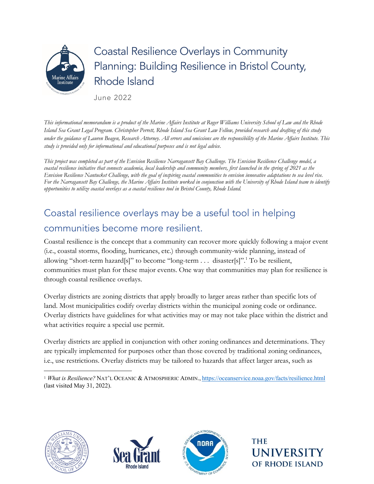

# Coastal Resilience Overlays in Community Planning: Building Resilience in Bristol County, Rhode Island

June 2022

*This informational memorandum is a product of the Marine Affairs Institute at Roger Williams University School of Law and the Rhode Island Sea Grant Legal Program. Christopher Perrett, Rhode Island Sea Grant Law Fellow, provided research and drafting of this study under the guidance of Lauren Beagen, Research Attorney. All errors and omissions are the responsibility of the Marine Affairs Institute. This study is provided only for informational and educational purposes and is not legal advice.*

*This project was completed as part of the Envision Resilience Narragansett Bay Challenge. The Envision Resilience Challenge model, a coastal resilience initiative that connects academia, local leadership and community members, first launched in the spring of 2021 as the Envision Resilience Nantucket Challenge, with the goal of inspiring coastal communities to envision innovative adaptations to sea level rise. For the Narragansett Bay Challenge, the Marine Affairs Institute worked in conjunction with the University of Rhode Island team to identify opportunities to utilize coastal overlays as a coastal resilience tool in Bristol County, Rhode Island.* 

### Coastal resilience overlays may be a useful tool in helping communities become more resilient.

Coastal resilience is the concept that a community can recover more quickly following a major event (i.e., coastal storms, flooding, hurricanes, etc.) through community-wide planning, instead of allowing "short-term hazard[s]" to become "long-term . . . disaster[s]".<sup>1</sup> To be resilient, communities must plan for these major events. One way that communities may plan for resilience is through coastal resilience overlays.

Overlay districts are zoning districts that apply broadly to larger areas rather than specific lots of land. Most municipalities codify overlay districts within the municipal zoning code or ordinance. Overlay districts have guidelines for what activities may or may not take place within the district and what activities require a special use permit.

Overlay districts are applied in conjunction with other zoning ordinances and determinations. They are typically implemented for purposes other than those covered by traditional zoning ordinances, i.e., use restrictions. Overlay districts may be tailored to hazards that affect larger areas, such as







**THE UNIVERSI** OF RHODE ISLAND

<sup>1</sup> *What is Resilience?* NAT'L OCEANIC & ATMOSPHERIC ADMIN., https://oceanservice.noaa.gov/facts/resilience.html (last visited May 31, 2022).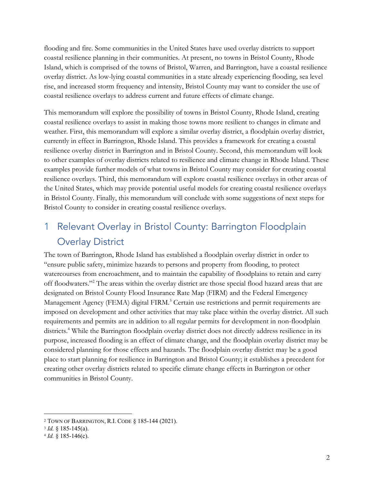flooding and fire. Some communities in the United States have used overlay districts to support coastal resilience planning in their communities. At present, no towns in Bristol County, Rhode Island, which is comprised of the towns of Bristol, Warren, and Barrington, have a coastal resilience overlay district. As low-lying coastal communities in a state already experiencing flooding, sea level rise, and increased storm frequency and intensity, Bristol County may want to consider the use of coastal resilience overlays to address current and future effects of climate change.

This memorandum will explore the possibility of towns in Bristol County, Rhode Island, creating coastal resilience overlays to assist in making those towns more resilient to changes in climate and weather. First, this memorandum will explore a similar overlay district, a floodplain overlay district, currently in effect in Barrington, Rhode Island. This provides a framework for creating a coastal resilience overlay district in Barrington and in Bristol County. Second, this memorandum will look to other examples of overlay districts related to resilience and climate change in Rhode Island. These examples provide further models of what towns in Bristol County may consider for creating coastal resilience overlays. Third, this memorandum will explore coastal resilience overlays in other areas of the United States, which may provide potential useful models for creating coastal resilience overlays in Bristol County. Finally, this memorandum will conclude with some suggestions of next steps for Bristol County to consider in creating coastal resilience overlays.

### 1 Relevant Overlay in Bristol County: Barrington Floodplain Overlay District

The town of Barrington, Rhode Island has established a floodplain overlay district in order to "ensure public safety, minimize hazards to persons and property from flooding, to protect watercourses from encroachment, and to maintain the capability of floodplains to retain and carry off floodwaters."2 The areas within the overlay district are those special flood hazard areas that are designated on Bristol County Flood Insurance Rate Map (FIRM) and the Federal Emergency Management Agency (FEMA) digital FIRM.<sup>3</sup> Certain use restrictions and permit requirements are imposed on development and other activities that may take place within the overlay district. All such requirements and permits are in addition to all regular permits for development in non-floodplain districts.<sup>4</sup> While the Barrington floodplain overlay district does not directly address resilience in its purpose, increased flooding is an effect of climate change, and the floodplain overlay district may be considered planning for those effects and hazards. The floodplain overlay district may be a good place to start planning for resilience in Barrington and Bristol County; it establishes a precedent for creating other overlay districts related to specific climate change effects in Barrington or other communities in Bristol County.

<sup>2</sup> TOWN OF BARRINGTON, R.I. CODE § 185-144 (2021).

<sup>3</sup> *Id.* § 185-145(a).

<sup>4</sup> *Id.* § 185-146(c).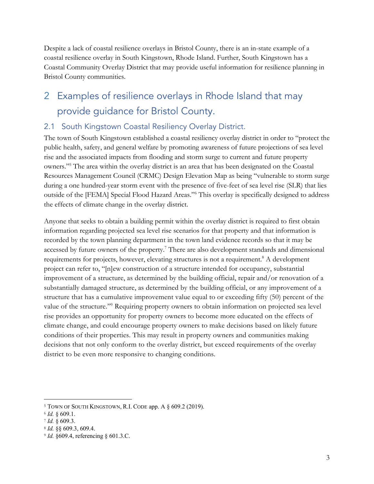Despite a lack of coastal resilience overlays in Bristol County, there is an in-state example of a coastal resilience overlay in South Kingstown, Rhode Island. Further, South Kingstown has a Coastal Community Overlay District that may provide useful information for resilience planning in Bristol County communities.

### 2 Examples of resilience overlays in Rhode Island that may provide guidance for Bristol County.

#### 2.1 South Kingstown Coastal Resiliency Overlay District.

The town of South Kingstown established a coastal resiliency overlay district in order to "protect the public health, safety, and general welfare by promoting awareness of future projections of sea level rise and the associated impacts from flooding and storm surge to current and future property owners."5 The area within the overlay district is an area that has been designated on the Coastal Resources Management Council (CRMC) Design Elevation Map as being "vulnerable to storm surge during a one hundred-year storm event with the presence of five-feet of sea level rise (SLR) that lies outside of the [FEMA] Special Flood Hazard Areas."6 This overlay is specifically designed to address the effects of climate change in the overlay district.

Anyone that seeks to obtain a building permit within the overlay district is required to first obtain information regarding projected sea level rise scenarios for that property and that information is recorded by the town planning department in the town land evidence records so that it may be accessed by future owners of the property.<sup>7</sup> There are also development standards and dimensional requirements for projects, however, elevating structures is not a requirement.<sup>8</sup> A development project can refer to, "[n]ew construction of a structure intended for occupancy, substantial improvement of a structure, as determined by the building official, repair and/or renovation of a substantially damaged structure, as determined by the building official, or any improvement of a structure that has a cumulative improvement value equal to or exceeding fifty (50) percent of the value of the structure."9 Requiring property owners to obtain information on projected sea level rise provides an opportunity for property owners to become more educated on the effects of climate change, and could encourage property owners to make decisions based on likely future conditions of their properties. This may result in property owners and communities making decisions that not only conform to the overlay district, but exceed requirements of the overlay district to be even more responsive to changing conditions.

<sup>&</sup>lt;sup>5</sup> TOWN OF SOUTH KINGSTOWN, R.I. CODE app. A § 609.2 (2019).

<sup>6</sup> *Id.* § 609.1.

<sup>7</sup> *Id.* § 609.3.

<sup>8</sup> *Id.* §§ 609.3, 609.4.

<sup>9</sup> *Id.* §609.4, referencing § 601.3.C.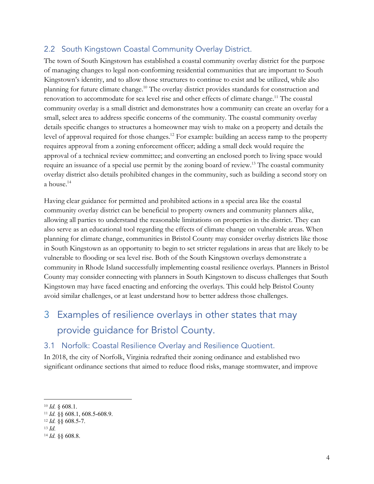#### 2.2 South Kingstown Coastal Community Overlay District.

The town of South Kingstown has established a coastal community overlay district for the purpose of managing changes to legal non-conforming residential communities that are important to South Kingstown's identity, and to allow those structures to continue to exist and be utilized, while also planning for future climate change. <sup>10</sup> The overlay district provides standards for construction and renovation to accommodate for sea level rise and other effects of climate change.<sup>11</sup> The coastal community overlay is a small district and demonstrates how a community can create an overlay for a small, select area to address specific concerns of the community. The coastal community overlay details specific changes to structures a homeowner may wish to make on a property and details the level of approval required for those changes.<sup>12</sup> For example: building an access ramp to the property requires approval from a zoning enforcement officer; adding a small deck would require the approval of a technical review committee; and converting an enclosed porch to living space would require an issuance of a special use permit by the zoning board of review.<sup>13</sup> The coastal community overlay district also details prohibited changes in the community, such as building a second story on a house.14

Having clear guidance for permitted and prohibited actions in a special area like the coastal community overlay district can be beneficial to property owners and community planners alike, allowing all parties to understand the reasonable limitations on properties in the district. They can also serve as an educational tool regarding the effects of climate change on vulnerable areas. When planning for climate change, communities in Bristol County may consider overlay districts like those in South Kingstown as an opportunity to begin to set stricter regulations in areas that are likely to be vulnerable to flooding or sea level rise. Both of the South Kingstown overlays demonstrate a community in Rhode Island successfully implementing coastal resilience overlays. Planners in Bristol County may consider connecting with planners in South Kingstown to discuss challenges that South Kingstown may have faced enacting and enforcing the overlays. This could help Bristol County avoid similar challenges, or at least understand how to better address those challenges.

### 3 Examples of resilience overlays in other states that may provide guidance for Bristol County.

#### 3.1 Norfolk: Coastal Resilience Overlay and Resilience Quotient.

In 2018, the city of Norfolk, Virginia redrafted their zoning ordinance and established two significant ordinance sections that aimed to reduce flood risks, manage stormwater, and improve

<sup>10</sup> *Id.* § 608.1.

<sup>11</sup> *Id.* §§ 608.1, 608.5-608.9.

<sup>12</sup> *Id.* §§ 608.5-7.

<sup>13</sup> *Id.*

<sup>14</sup> *Id.* §§ 608.8.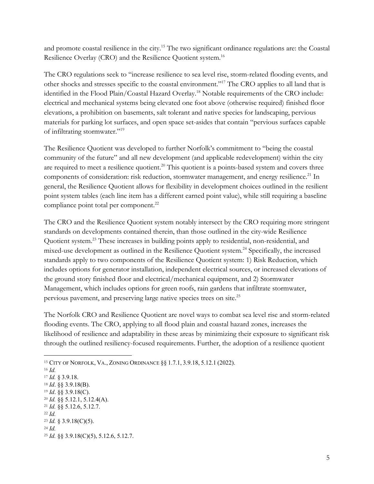and promote coastal resilience in the city.15 The two significant ordinance regulations are: the Coastal Resilience Overlay (CRO) and the Resilience Quotient system.<sup>16</sup>

The CRO regulations seek to "increase resilience to sea level rise, storm-related flooding events, and other shocks and stresses specific to the coastal environment."17 The CRO applies to all land that is identified in the Flood Plain/Coastal Hazard Overlay.18 Notable requirements of the CRO include: electrical and mechanical systems being elevated one foot above (otherwise required) finished floor elevations, a prohibition on basements, salt tolerant and native species for landscaping, pervious materials for parking lot surfaces, and open space set-asides that contain "pervious surfaces capable of infiltrating stormwater."19

The Resilience Quotient was developed to further Norfolk's commitment to "being the coastal community of the future" and all new development (and applicable redevelopment) within the city are required to meet a resilience quotient.<sup>20</sup> This quotient is a points-based system and covers three components of consideration: risk reduction, stormwater management, and energy resilience.<sup>21</sup> In general, the Resilience Quotient allows for flexibility in development choices outlined in the resilient point system tables (each line item has a different earned point value), while still requiring a baseline compliance point total per component.<sup>22</sup>

The CRO and the Resilience Quotient system notably intersect by the CRO requiring more stringent standards on developments contained therein, than those outlined in the city-wide Resilience Quotient system.23 These increases in building points apply to residential, non-residential, and mixed-use development as outlined in the Resilience Quotient system.24 Specifically, the increased standards apply to two components of the Resilience Quotient system: 1) Risk Reduction, which includes options for generator installation, independent electrical sources, or increased elevations of the ground story finished floor and electrical/mechanical equipment, and 2) Stormwater Management, which includes options for green roofs, rain gardens that infiltrate stormwater, pervious pavement, and preserving large native species trees on site.25

The Norfolk CRO and Resilience Quotient are novel ways to combat sea level rise and storm-related flooding events. The CRO, applying to all flood plain and coastal hazard zones, increases the likelihood of resilience and adaptability in these areas by minimizing their exposure to significant risk through the outlined resiliency-focused requirements. Further, the adoption of a resilience quotient

<sup>15</sup> CITY OF NORFOLK, VA., ZONING ORDINANCE §§ 1.7.1, 3.9.18, 5.12.1 (2022).

<sup>16</sup> *Id.*

<sup>17</sup> *Id.* § 3.9.18.

<sup>18</sup> *Id*. §§ 3.9.18(B).

<sup>19</sup> *Id*. §§ 3.9.18(C).

<sup>20</sup> *Id.* §§ 5.12.1, 5.12.4(A). <sup>21</sup> *Id.* §§ 5.12.6, 5.12.7.

<sup>22</sup> *Id.*

<sup>23</sup> *Id.* § 3.9.18(C)(5).

<sup>24</sup> *Id.*

<sup>25</sup> *Id.* §§ 3.9.18(C)(5), 5.12.6, 5.12.7.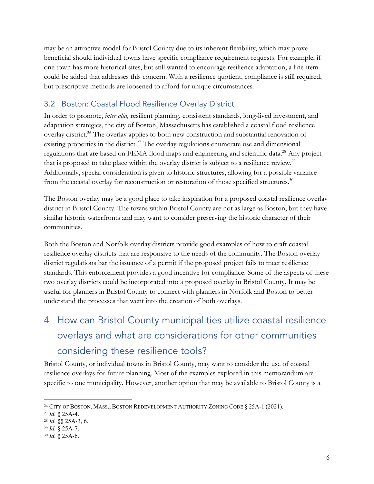may be an attractive model for Bristol County due to its inherent flexibility, which may prove beneficial should individual towns have specific compliance requirement requests. For example, if one town has more historical sites, but still wanted to encourage resilience adaptation, a line-item could be added that addresses this concern. With a resilience quotient, compliance is still required, but prescriptive methods are loosened to afford for unique circumstances.

#### 3.2 Boston: Coastal Flood Resilience Overlay District.

In order to promote, *inter alia,* resilient planning, consistent standards, long-lived investment, and adaptation strategies, the city of Boston, Massachusetts has established a coastal flood resilience overlay district.<sup>26</sup> The overlay applies to both new construction and substantial renovation of existing properties in the district.<sup>27</sup> The overlay regulations enumerate use and dimensional regulations that are based on FEMA flood maps and engineering and scientific data.<sup>28</sup> Any project that is proposed to take place within the overlay district is subject to a resilience review.<sup>29</sup> Additionally, special consideration is given to historic structures, allowing for a possible variance from the coastal overlay for reconstruction or restoration of those specified structures.30

The Boston overlay may be a good place to take inspiration for a proposed coastal resilience overlay district in Bristol County. The towns within Bristol County are not as large as Boston, but they have similar historic waterfronts and may want to consider preserving the historic character of their communities.

Both the Boston and Norfolk overlay districts provide good examples of how to craft coastal resilience overlay districts that are responsive to the needs of the community. The Boston overlay district regulations bar the issuance of a permit if the proposed project fails to meet resilience standards. This enforcement provides a good incentive for compliance. Some of the aspects of these two overlay districts could be incorporated into a proposed overlay in Bristol County. It may be useful for planners in Bristol County to connect with planners in Norfolk and Boston to better understand the processes that went into the creation of both overlays.

## 4 How can Bristol County municipalities utilize coastal resilience overlays and what are considerations for other communities considering these resilience tools?

Bristol County, or individual towns in Bristol County, may want to consider the use of coastal resilience overlays for future planning. Most of the examples explored in this memorandum are specific to one municipality. However, another option that may be available to Bristol County is a

<sup>26</sup> CITY OF BOSTON, MASS., BOSTON REDEVELOPMENT AUTHORITY ZONING CODE § 25A-1 (2021).

<sup>27</sup> *Id.* § 25A-4.

<sup>28</sup> *Id.* §§ 25A-3, 6.

<sup>29</sup> *Id.* § 25A-7.

<sup>30</sup> *Id.* § 25A-6.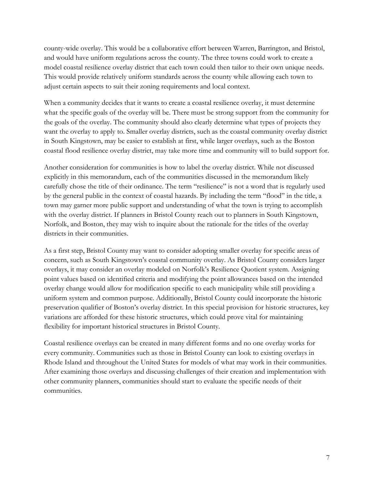county-wide overlay. This would be a collaborative effort between Warren, Barrington, and Bristol, and would have uniform regulations across the county. The three towns could work to create a model coastal resilience overlay district that each town could then tailor to their own unique needs. This would provide relatively uniform standards across the county while allowing each town to adjust certain aspects to suit their zoning requirements and local context.

When a community decides that it wants to create a coastal resilience overlay, it must determine what the specific goals of the overlay will be. There must be strong support from the community for the goals of the overlay. The community should also clearly determine what types of projects they want the overlay to apply to. Smaller overlay districts, such as the coastal community overlay district in South Kingstown, may be easier to establish at first, while larger overlays, such as the Boston coastal flood resilience overlay district, may take more time and community will to build support for.

Another consideration for communities is how to label the overlay district. While not discussed explicitly in this memorandum, each of the communities discussed in the memorandum likely carefully chose the title of their ordinance. The term "resilience" is not a word that is regularly used by the general public in the context of coastal hazards. By including the term "flood" in the title, a town may garner more public support and understanding of what the town is trying to accomplish with the overlay district. If planners in Bristol County reach out to planners in South Kingstown, Norfolk, and Boston, they may wish to inquire about the rationale for the titles of the overlay districts in their communities.

As a first step, Bristol County may want to consider adopting smaller overlay for specific areas of concern, such as South Kingstown's coastal community overlay. As Bristol County considers larger overlays, it may consider an overlay modeled on Norfolk's Resilience Quotient system. Assigning point values based on identified criteria and modifying the point allowances based on the intended overlay change would allow for modification specific to each municipality while still providing a uniform system and common purpose. Additionally, Bristol County could incorporate the historic preservation qualifier of Boston's overlay district. In this special provision for historic structures, key variations are afforded for these historic structures, which could prove vital for maintaining flexibility for important historical structures in Bristol County.

Coastal resilience overlays can be created in many different forms and no one overlay works for every community. Communities such as those in Bristol County can look to existing overlays in Rhode Island and throughout the United States for models of what may work in their communities. After examining those overlays and discussing challenges of their creation and implementation with other community planners, communities should start to evaluate the specific needs of their communities.